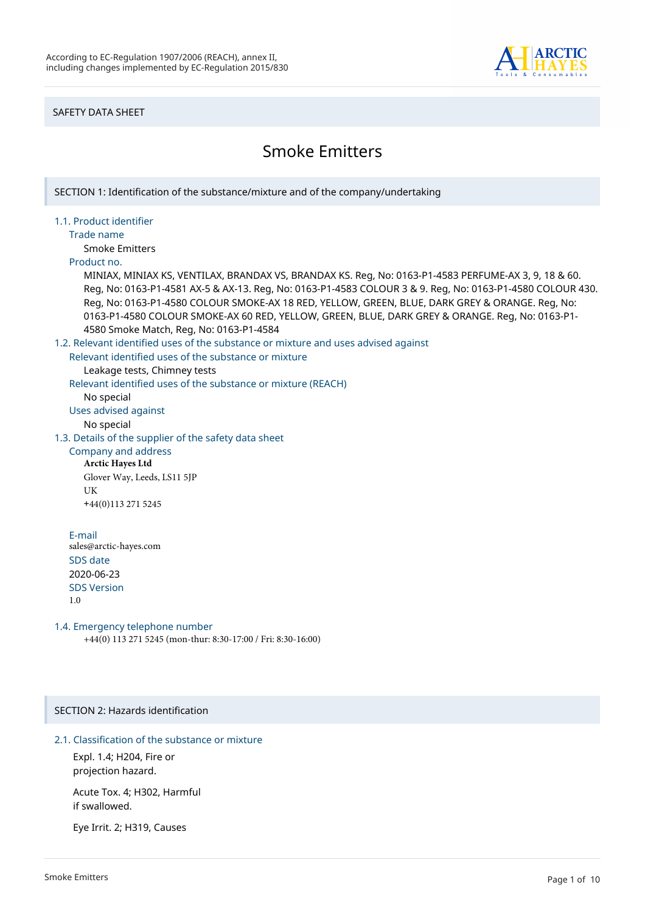

### SAFETY DATA SHEET

# Smoke Emitters

SECTION 1: Identification of the substance/mixture and of the company/undertaking 1.1. Product identifier Trade name Smoke Emitters Product no. MINIAX, MINIAX KS, VENTILAX, BRANDAX VS, BRANDAX KS. Reg, No: 0163-P1-4583 PERFUME-AX 3, 9, 18 & 60. Reg, No: 0163-P1-4581 AX-5 & AX-13. Reg, No: 0163-P1-4583 COLOUR 3 & 9. Reg, No: 0163-P1-4580 COLOUR 430. Reg, No: 0163-P1-4580 COLOUR SMOKE-AX 18 RED, YELLOW, GREEN, BLUE, DARK GREY & ORANGE. Reg, No: 0163-P1-4580 COLOUR SMOKE-AX 60 RED, YELLOW, GREEN, BLUE, DARK GREY & ORANGE. Reg, No: 0163-P1- 4580 Smoke Match, Reg, No: 0163-P1-4584 1.2. Relevant identified uses of the substance or mixture and uses advised against Relevant identified uses of the substance or mixture Leakage tests, Chimney tests Relevant identified uses of the substance or mixture (REACH) No special Uses advised against No special 1.3. Details of the supplier of the safety data sheet Company and address **Arctic Hayes Ltd** Glover Way, Leeds, LS11 5JP UK +44(0)113 271 5245 E-mail sales@arctic-hayes.com SDS date 2020-06-23 SDS Version 1.0 1.4. Emergency telephone number +44(0) 113 271 5245 (mon-thur: 8:30-17:00 / Fri: 8:30-16:00) SECTION 2: Hazards identification 2.1. Classification of the substance or mixture

Expl. 1.4; H204, Fire or projection hazard.

Acute Tox. 4; H302, Harmful if swallowed.

Eye Irrit. 2; H319, Causes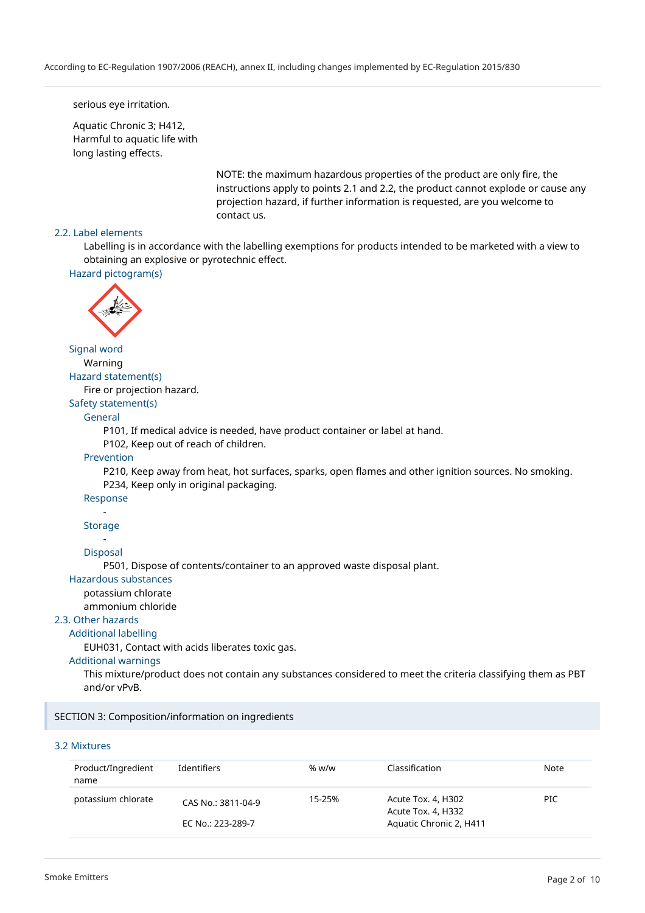#### serious eye irritation.

Aquatic Chronic 3; H412, Harmful to aquatic life with long lasting effects.

> NOTE: the maximum hazardous properties of the product are only fire, the instructions apply to points 2.1 and 2.2, the product cannot explode or cause any projection hazard, if further information is requested, are you welcome to contact us.

### 2.2. Label elements

Labelling is in accordance with the labelling exemptions for products intended to be marketed with a view to obtaining an explosive or pyrotechnic effect.

```
Hazard pictogram(s)
```


### Signal word

Warning Hazard statement(s)

Fire or projection hazard.

Safety statement(s)

#### General

P101, If medical advice is needed, have product container or label at hand.

P102, Keep out of reach of children.

#### Prevention

P210, Keep away from heat, hot surfaces, sparks, open flames and other ignition sources. No smoking. P234, Keep only in original packaging.

#### Response -

#### Storage

-

Disposal

P501, Dispose of contents/container to an approved waste disposal plant.

#### Hazardous substances

potassium chlorate

ammonium chloride

#### 2.3. Other hazards

#### Additional labelling

EUH031, Contact with acids liberates toxic gas.

#### Additional warnings

This mixture/product does not contain any substances considered to meet the criteria classifying them as PBT and/or vPvB.

#### SECTION 3: Composition/information on ingredients

#### 3.2 Mixtures

| Product/Ingredient<br>name | Identifiers                             | % w/w  | Classification                                                      | Note |
|----------------------------|-----------------------------------------|--------|---------------------------------------------------------------------|------|
| potassium chlorate         | CAS No.: 3811-04-9<br>EC No.: 223-289-7 | 15-25% | Acute Tox. 4, H302<br>Acute Tox. 4, H332<br>Aquatic Chronic 2, H411 | PIC  |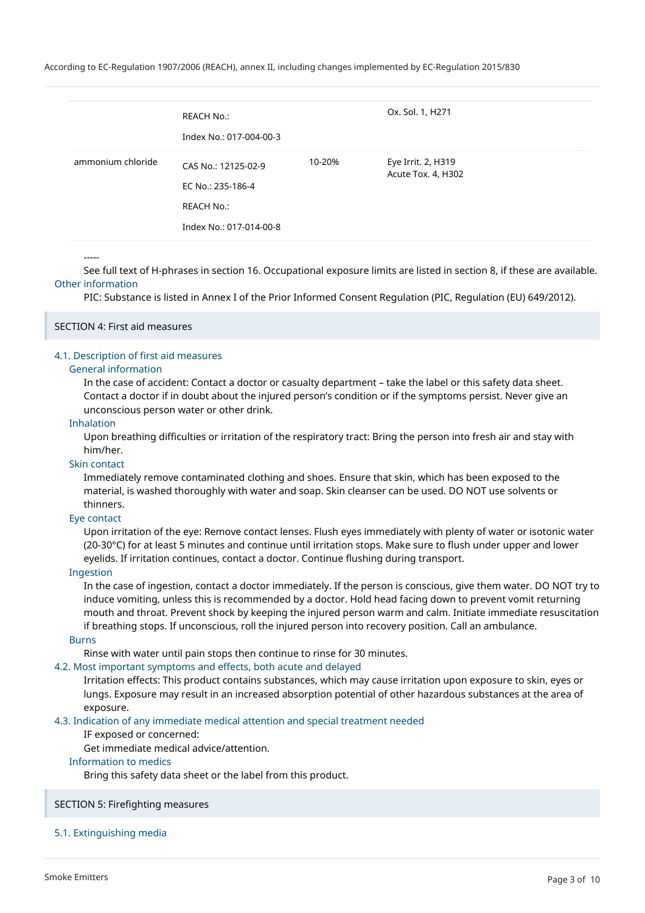|                   | REACH No.:<br>Index No.: 017-004-00-3                                             |        | Ox. Sol. 1, H271                         |
|-------------------|-----------------------------------------------------------------------------------|--------|------------------------------------------|
| ammonium chloride | CAS No.: 12125-02-9<br>EC No.: 235-186-4<br>REACH No.:<br>Index No.: 017-014-00-8 | 10-20% | Eye Irrit. 2, H319<br>Acute Tox. 4, H302 |

-----

See full text of H-phrases in section 16. Occupational exposure limits are listed in section 8, if these are available. Other information

PIC: Substance is listed in Annex I of the Prior Informed Consent Regulation (PIC, Regulation (EU) 649/2012).

#### SECTION 4: First aid measures

#### 4.1. Description of first aid measures

#### General information

In the case of accident: Contact a doctor or casualty department – take the label or this safety data sheet. Contact a doctor if in doubt about the injured person's condition or if the symptoms persist. Never give an unconscious person water or other drink.

#### Inhalation

Upon breathing difficulties or irritation of the respiratory tract: Bring the person into fresh air and stay with him/her.

#### Skin contact

Immediately remove contaminated clothing and shoes. Ensure that skin, which has been exposed to the material, is washed thoroughly with water and soap. Skin cleanser can be used. DO NOT use solvents or thinners.

#### Eye contact

Upon irritation of the eye: Remove contact lenses. Flush eyes immediately with plenty of water or isotonic water (20-30°C) for at least 5 minutes and continue until irritation stops. Make sure to flush under upper and lower eyelids. If irritation continues, contact a doctor. Continue flushing during transport.

#### Ingestion

In the case of ingestion, contact a doctor immediately. If the person is conscious, give them water. DO NOT try to induce vomiting, unless this is recommended by a doctor. Hold head facing down to prevent vomit returning mouth and throat. Prevent shock by keeping the injured person warm and calm. Initiate immediate resuscitation if breathing stops. If unconscious, roll the injured person into recovery position. Call an ambulance.

#### Burns

Rinse with water until pain stops then continue to rinse for 30 minutes.

### 4.2. Most important symptoms and effects, both acute and delayed

Irritation effects: This product contains substances, which may cause irritation upon exposure to skin, eyes or lungs. Exposure may result in an increased absorption potential of other hazardous substances at the area of exposure.

4.3. Indication of any immediate medical attention and special treatment needed

#### IF exposed or concerned:

Get immediate medical advice/attention.

#### Information to medics

Bring this safety data sheet or the label from this product.

#### SECTION 5: Firefighting measures

#### 5.1. Extinguishing media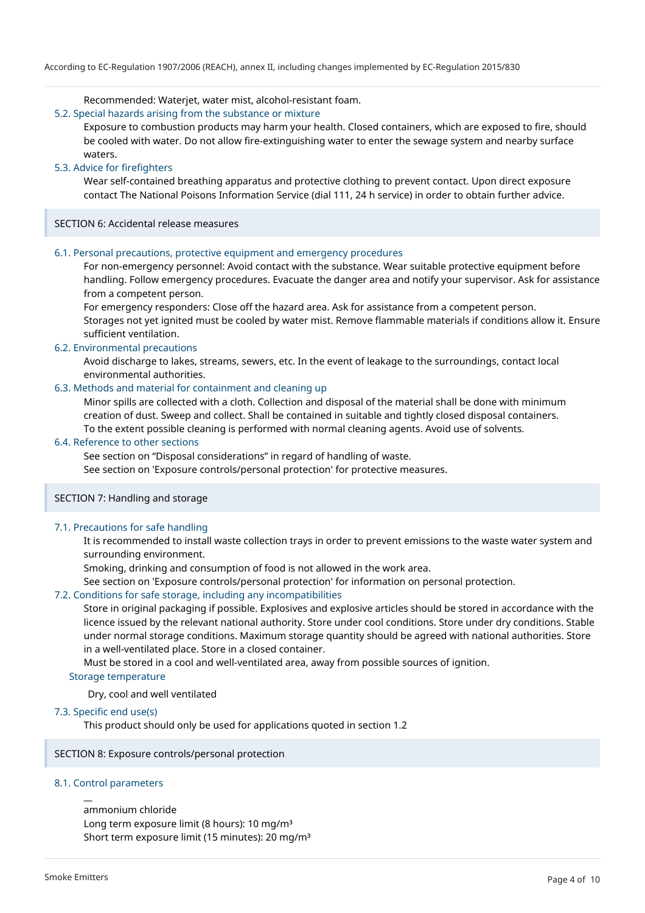Recommended: Waterjet, water mist, alcohol-resistant foam.

### 5.2. Special hazards arising from the substance or mixture

Exposure to combustion products may harm your health. Closed containers, which are exposed to fire, should be cooled with water. Do not allow fire-extinguishing water to enter the sewage system and nearby surface waters.

#### 5.3. Advice for firefighters

Wear self-contained breathing apparatus and protective clothing to prevent contact. Upon direct exposure contact The National Poisons Information Service (dial 111, 24 h service) in order to obtain further advice.

SECTION 6: Accidental release measures

#### 6.1. Personal precautions, protective equipment and emergency procedures

For non-emergency personnel: Avoid contact with the substance. Wear suitable protective equipment before handling. Follow emergency procedures. Evacuate the danger area and notify your supervisor. Ask for assistance from a competent person.

For emergency responders: Close off the hazard area. Ask for assistance from a competent person. Storages not yet ignited must be cooled by water mist. Remove flammable materials if conditions allow it. Ensure sufficient ventilation.

#### 6.2. Environmental precautions

Avoid discharge to lakes, streams, sewers, etc. In the event of leakage to the surroundings, contact local environmental authorities.

#### 6.3. Methods and material for containment and cleaning up

Minor spills are collected with a cloth. Collection and disposal of the material shall be done with minimum creation of dust. Sweep and collect. Shall be contained in suitable and tightly closed disposal containers. To the extent possible cleaning is performed with normal cleaning agents. Avoid use of solvents.

#### 6.4. Reference to other sections

See section on "Disposal considerations" in regard of handling of waste.

See section on 'Exposure controls/personal protection' for protective measures.

### SECTION 7: Handling and storage

### 7.1. Precautions for safe handling

It is recommended to install waste collection trays in order to prevent emissions to the waste water system and surrounding environment.

Smoking, drinking and consumption of food is not allowed in the work area.

See section on 'Exposure controls/personal protection' for information on personal protection.

#### 7.2. Conditions for safe storage, including any incompatibilities

Store in original packaging if possible. Explosives and explosive articles should be stored in accordance with the licence issued by the relevant national authority. Store under cool conditions. Store under dry conditions. Stable under normal storage conditions. Maximum storage quantity should be agreed with national authorities. Store in a well-ventilated place. Store in a closed container.

Must be stored in a cool and well-ventilated area, away from possible sources of ignition.

#### Storage temperature

Dry, cool and well ventilated

7.3. Specific end use(s)

This product should only be used for applications quoted in section 1.2

SECTION 8: Exposure controls/personal protection

#### 8.1. Control parameters

 $\overline{a}$ 

#### ammonium chloride

Long term exposure limit (8 hours): 10 mg/m<sup>3</sup> Short term exposure limit (15 minutes): 20 mg/m<sup>3</sup>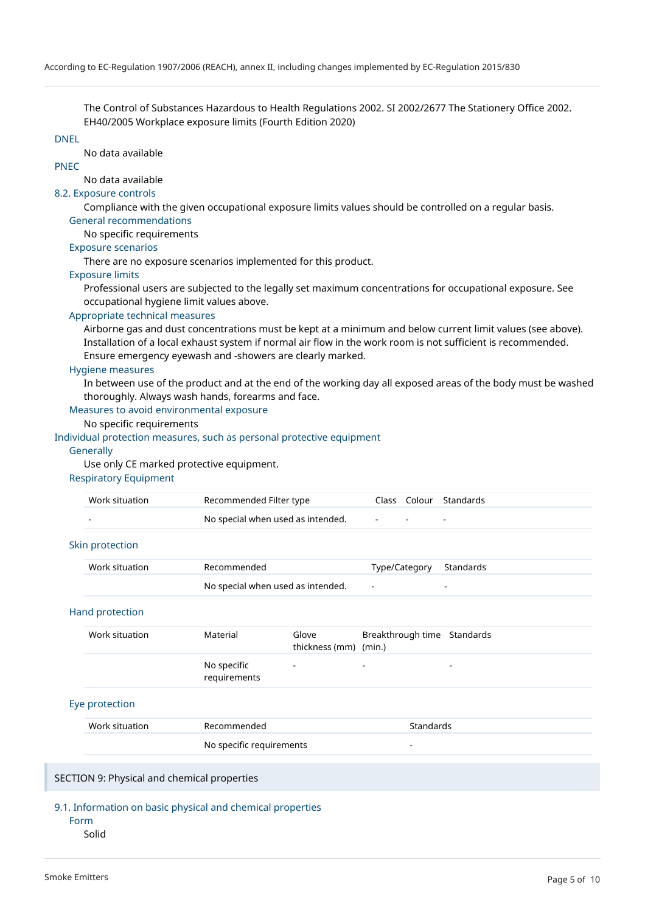The Control of Substances Hazardous to Health Regulations 2002. SI 2002/2677 The Stationery Office 2002. EH40/2005 Workplace exposure limits (Fourth Edition 2020)

#### DNEL

No data available

## PNEC

No data available

#### 8.2. Exposure controls

Compliance with the given occupational exposure limits values should be controlled on a regular basis.

#### General recommendations

No specific requirements

#### Exposure scenarios

There are no exposure scenarios implemented for this product.

#### Exposure limits

Professional users are subjected to the legally set maximum concentrations for occupational exposure. See occupational hygiene limit values above.

#### Appropriate technical measures

Airborne gas and dust concentrations must be kept at a minimum and below current limit values (see above). Installation of a local exhaust system if normal air flow in the work room is not sufficient is recommended. Ensure emergency eyewash and -showers are clearly marked.

#### Hygiene measures

In between use of the product and at the end of the working day all exposed areas of the body must be washed thoroughly. Always wash hands, forearms and face.

### Measures to avoid environmental exposure

### No specific requirements

#### Individual protection measures, such as personal protective equipment

#### **Generally**

Use only CE marked protective equipment.

#### Respiratory Equipment

| Work situation | Recommended Filter type           |                                | Class Colour Standards |
|----------------|-----------------------------------|--------------------------------|------------------------|
|                | No special when used as intended. | and the company of the company |                        |

#### Skin protection

| Work situation<br>Recommended |                                   | Type/Category Standards |  |
|-------------------------------|-----------------------------------|-------------------------|--|
|                               | No special when used as intended. |                         |  |

#### Hand protection

| Work situation | Material                    | Glove<br>thickness (mm) (min.) | Breakthrough time Standards |   |
|----------------|-----------------------------|--------------------------------|-----------------------------|---|
|                | No specific<br>requirements | $\overline{\phantom{a}}$       | $\sim$                      | - |

#### Eye protection

| Work situation | Recommended              | Standards |
|----------------|--------------------------|-----------|
|                | No specific requirements |           |

#### SECTION 9: Physical and chemical properties

#### 9.1. Information on basic physical and chemical properties

Form

#### Solid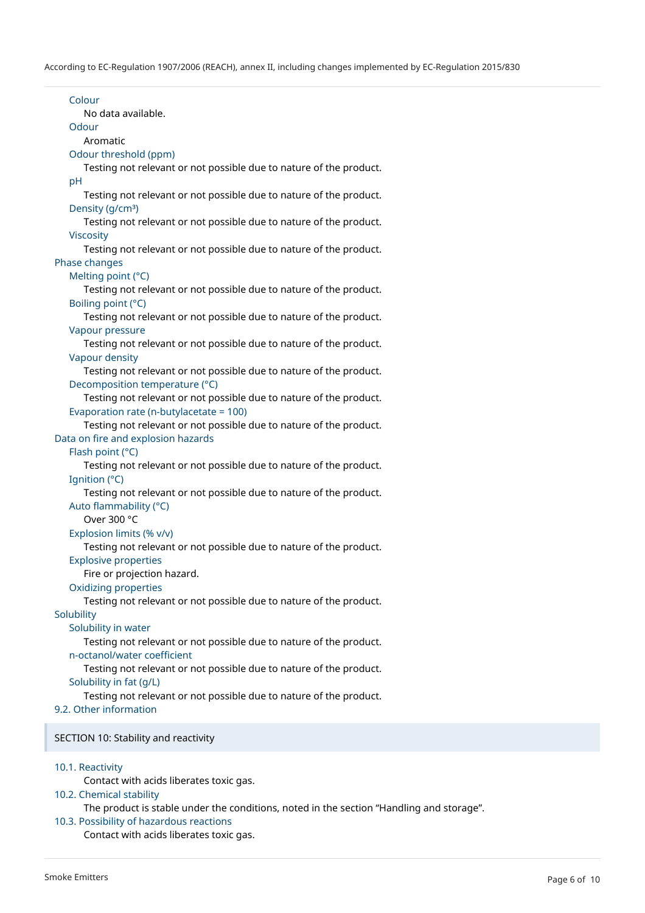Colour No data available. Odour Aromatic Odour threshold (ppm) Testing not relevant or not possible due to nature of the product. pH Testing not relevant or not possible due to nature of the product. Density (g/cm<sup>3</sup>) Testing not relevant or not possible due to nature of the product. Viscosity Testing not relevant or not possible due to nature of the product. Phase changes Melting point (°C) Testing not relevant or not possible due to nature of the product. Boiling point (°C) Testing not relevant or not possible due to nature of the product. Vapour pressure Testing not relevant or not possible due to nature of the product. Vapour density Testing not relevant or not possible due to nature of the product. Decomposition temperature (°C) Testing not relevant or not possible due to nature of the product. Evaporation rate (n-butylacetate = 100) Testing not relevant or not possible due to nature of the product. Data on fire and explosion hazards Flash point (°C) Testing not relevant or not possible due to nature of the product. Ignition (°C) Testing not relevant or not possible due to nature of the product. Auto flammability (°C) Over 300 °C Explosion limits (% v/v) Testing not relevant or not possible due to nature of the product. Explosive properties Fire or projection hazard. Oxidizing properties Testing not relevant or not possible due to nature of the product. Solubility Solubility in water Testing not relevant or not possible due to nature of the product. n-octanol/water coefficient Testing not relevant or not possible due to nature of the product. Solubility in fat (g/L) Testing not relevant or not possible due to nature of the product. 9.2. Other information SECTION 10: Stability and reactivity 10.1. Reactivity

Contact with acids liberates toxic gas.

#### 10.2. Chemical stability

The product is stable under the conditions, noted in the section "Handling and storage".

## 10.3. Possibility of hazardous reactions

Contact with acids liberates toxic gas.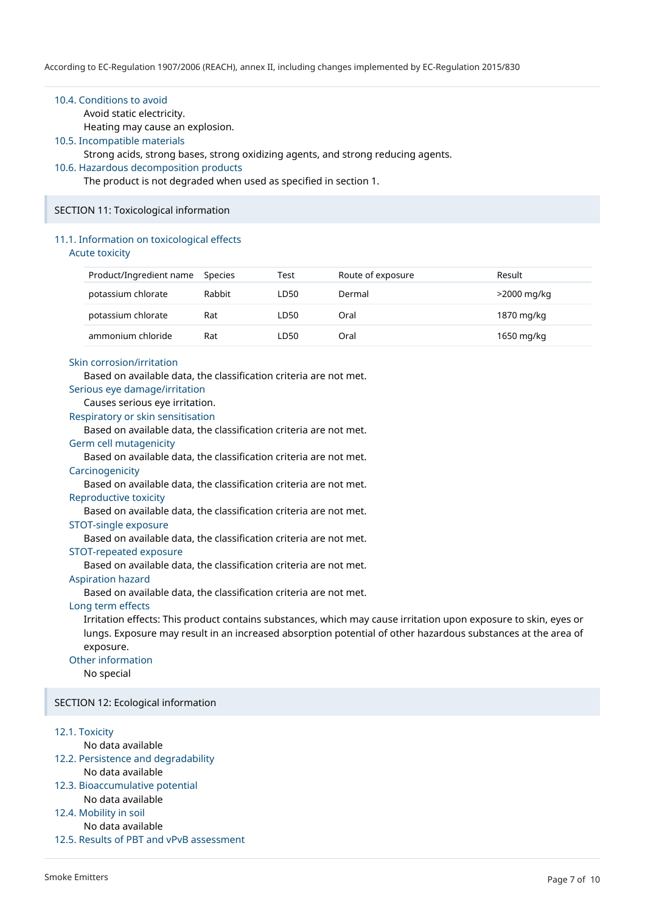#### 10.4. Conditions to avoid

Avoid static electricity.

Heating may cause an explosion.

#### 10.5. Incompatible materials

Strong acids, strong bases, strong oxidizing agents, and strong reducing agents.

#### 10.6. Hazardous decomposition products

The product is not degraded when used as specified in section 1.

#### SECTION 11: Toxicological information

#### 11.1. Information on toxicological effects

Acute toxicity

| Product/Ingredient name | Species | Test | Route of exposure | Result      |
|-------------------------|---------|------|-------------------|-------------|
| potassium chlorate      | Rabbit  | LD50 | Dermal            | >2000 mg/kg |
| potassium chlorate      | Rat     | LD50 | Oral              | 1870 mg/kg  |
| ammonium chloride       | Rat     | LD50 | Oral              | 1650 mg/kg  |

#### Skin corrosion/irritation

Based on available data, the classification criteria are not met.

#### Serious eye damage/irritation

Causes serious eye irritation.

Respiratory or skin sensitisation

Based on available data, the classification criteria are not met.

#### Germ cell mutagenicity

Based on available data, the classification criteria are not met.

#### **Carcinogenicity**

Based on available data, the classification criteria are not met.

#### Reproductive toxicity

Based on available data, the classification criteria are not met.

#### STOT-single exposure

Based on available data, the classification criteria are not met.

### STOT-repeated exposure

Based on available data, the classification criteria are not met.

#### Aspiration hazard

Based on available data, the classification criteria are not met.

#### Long term effects

Irritation effects: This product contains substances, which may cause irritation upon exposure to skin, eyes or lungs. Exposure may result in an increased absorption potential of other hazardous substances at the area of exposure.

#### Other information

No special

#### SECTION 12: Ecological information

#### 12.1. Toxicity

- No data available
- 12.2. Persistence and degradability
- No data available 12.3. Bioaccumulative potential
- No data available
- 12.4. Mobility in soil

#### No data available

12.5. Results of PBT and vPvB assessment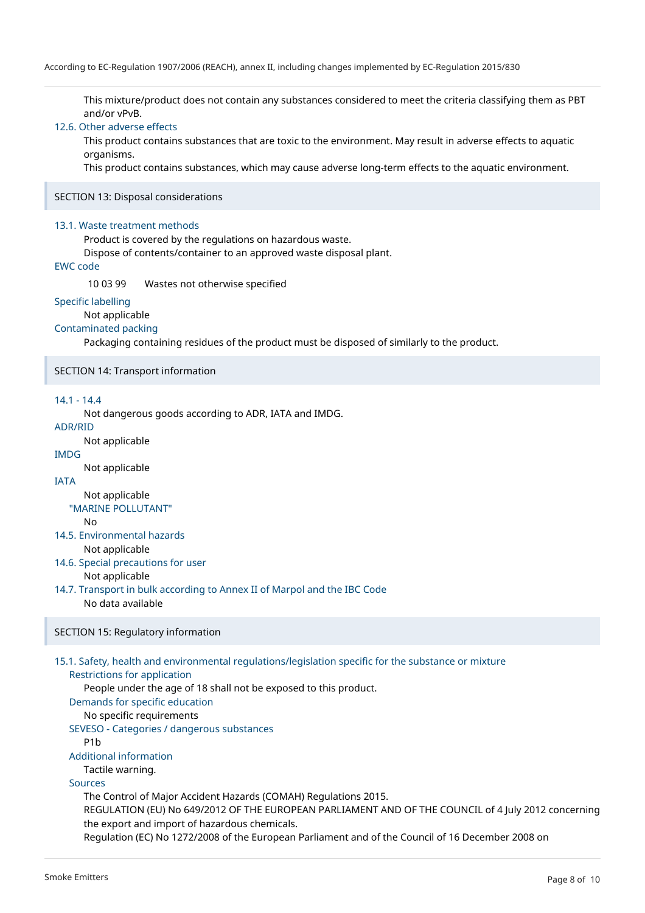This mixture/product does not contain any substances considered to meet the criteria classifying them as PBT and/or vPvB.

#### 12.6. Other adverse effects

This product contains substances that are toxic to the environment. May result in adverse effects to aquatic organisms.

This product contains substances, which may cause adverse long-term effects to the aquatic environment.

#### SECTION 13: Disposal considerations

#### 13.1. Waste treatment methods

Product is covered by the regulations on hazardous waste.

Dispose of contents/container to an approved waste disposal plant.

### EWC code

10 03 99 Wastes not otherwise specified

#### Specific labelling

Not applicable

#### Contaminated packing

Packaging containing residues of the product must be disposed of similarly to the product.

#### SECTION 14: Transport information

### 14.1 - 14.4

Not dangerous goods according to ADR, IATA and IMDG.

### ADR/RID

Not applicable

# IMDG

Not applicable

### IATA

Not applicable "MARINE POLLUTANT"

No

### 14.5. Environmental hazards

Not applicable

- 14.6. Special precautions for user Not applicable
- 14.7. Transport in bulk according to Annex II of Marpol and the IBC Code No data available

### SECTION 15: Regulatory information

15.1. Safety, health and environmental regulations/legislation specific for the substance or mixture Restrictions for application People under the age of 18 shall not be exposed to this product. Demands for specific education No specific requirements SEVESO - Categories / dangerous substances P1b Additional information Tactile warning. Sources

The Control of Major Accident Hazards (COMAH) Regulations 2015. REGULATION (EU) No 649/2012 OF THE EUROPEAN PARLIAMENT AND OF THE COUNCIL of 4 July 2012 concerning the export and import of hazardous chemicals. Regulation (EC) No 1272/2008 of the European Parliament and of the Council of 16 December 2008 on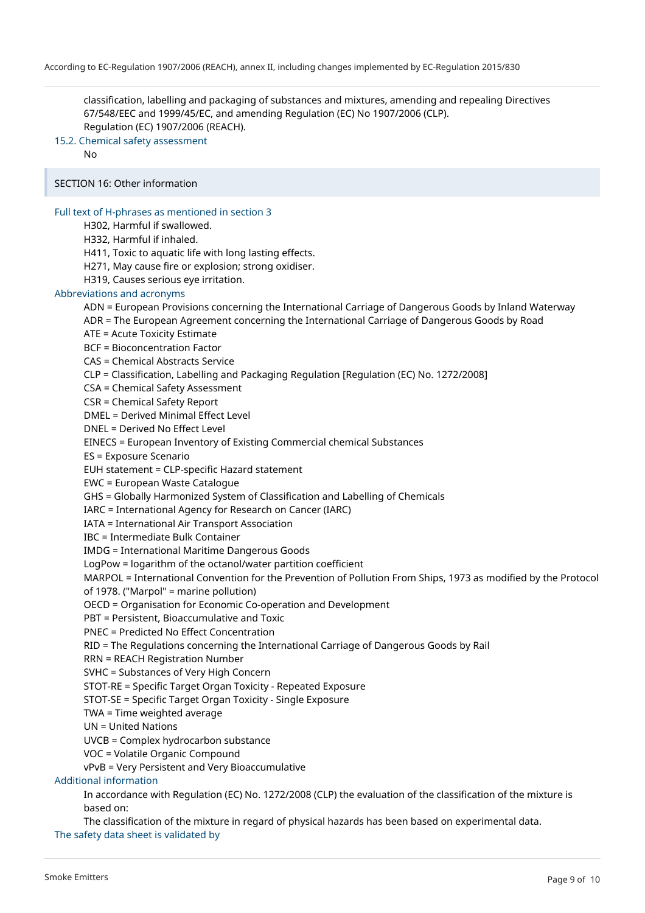classification, labelling and packaging of substances and mixtures, amending and repealing Directives 67/548/EEC and 1999/45/EC, and amending Regulation (EC) No 1907/2006 (CLP). Regulation (EC) 1907/2006 (REACH).

15.2. Chemical safety assessment

No

SECTION 16: Other information

#### Full text of H-phrases as mentioned in section 3

H302, Harmful if swallowed.

H332, Harmful if inhaled.

H411, Toxic to aquatic life with long lasting effects.

H271, May cause fire or explosion; strong oxidiser.

H319, Causes serious eye irritation.

#### Abbreviations and acronyms

ADN = European Provisions concerning the International Carriage of Dangerous Goods by Inland Waterway

ADR = The European Agreement concerning the International Carriage of Dangerous Goods by Road

ATE = Acute Toxicity Estimate

BCF = Bioconcentration Factor

CAS = Chemical Abstracts Service

CLP = Classification, Labelling and Packaging Regulation [Regulation (EC) No. 1272/2008]

CSA = Chemical Safety Assessment

CSR = Chemical Safety Report

DMEL = Derived Minimal Effect Level

DNEL = Derived No Effect Level

EINECS = European Inventory of Existing Commercial chemical Substances

ES = Exposure Scenario

EUH statement = CLP-specific Hazard statement

EWC = European Waste Catalogue

GHS = Globally Harmonized System of Classification and Labelling of Chemicals

IARC = International Agency for Research on Cancer (IARC)

IATA = International Air Transport Association

IBC = Intermediate Bulk Container

IMDG = International Maritime Dangerous Goods

LogPow = logarithm of the octanol/water partition coefficient

MARPOL = International Convention for the Prevention of Pollution From Ships, 1973 as modified by the Protocol of 1978. ("Marpol" = marine pollution)

OECD = Organisation for Economic Co-operation and Development

PBT = Persistent, Bioaccumulative and Toxic

PNEC = Predicted No Effect Concentration

RID = The Regulations concerning the International Carriage of Dangerous Goods by Rail

RRN = REACH Registration Number

SVHC = Substances of Very High Concern

STOT-RE = Specific Target Organ Toxicity - Repeated Exposure

STOT-SE = Specific Target Organ Toxicity - Single Exposure

TWA = Time weighted average

UN = United Nations

UVCB = Complex hydrocarbon substance

VOC = Volatile Organic Compound

vPvB = Very Persistent and Very Bioaccumulative

Additional information

In accordance with Regulation (EC) No. 1272/2008 (CLP) the evaluation of the classification of the mixture is based on:

The classification of the mixture in regard of physical hazards has been based on experimental data. The safety data sheet is validated by